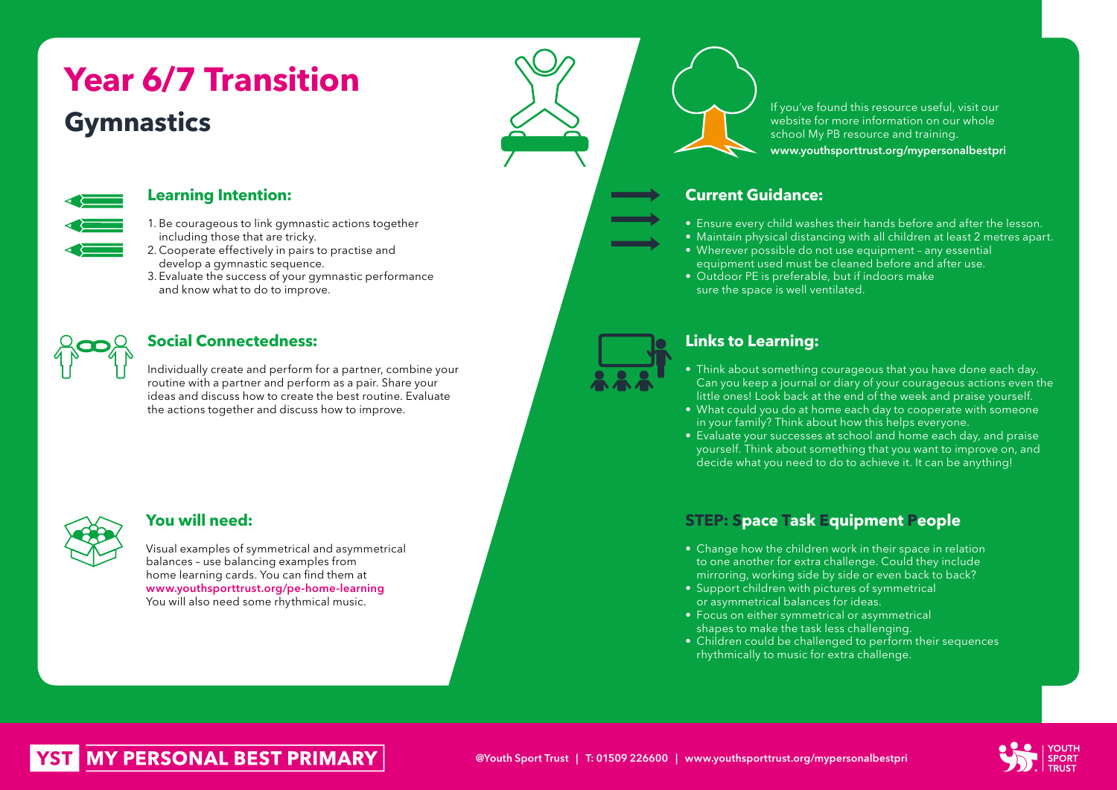# **Gymnastics Year 6/7 Transition**



### **Learning Intention:**

- 1. Be courageous to link gymnastic actions together including those that are tricky.
- 2. Cooperate effectively in pairs to practise and develop a gymnastic sequence.
- 3. Evaluate the success of your gymnastic performance and know what to do to improve.

## **Social Connectedness:**

Individually create and perform for a partner, combine your routine with a partner and perform as a pair. Share your ideas and discuss how to create the best routine. Evaluate the actions together and discuss how to improve.



### **You will need:**

Visual examples of symmetrical and asymmetrical balances – use balancing examples from home learning cards. You can find them at www.youthsporttrust.org/pe-home-learning You will also need some rhythmical music.

If you've found this resource useful, visit our website for more information on our whole school My PB resource and training. www.youthsporttrust.org/mypersonalbestpri

## **Current Guidance:**

- Ensure every child washes their hands before and after the lesson.
- Maintain physical distancing with all children at least 2 metres apart.
- Wherever possible do not use equipment any essential equipment used must be cleaned before and after use.
- Outdoor PE is preferable, but if indoors make sure the space is well ventilated.

## **Links to Learning:**

- Think about something courageous that you have done each day. Can you keep a journal or diary of your courageous actions even the little ones! Look back at the end of the week and praise yourself.
- What could you do at home each day to cooperate with someone in your family? Think about how this helps everyone.
- Evaluate your successes at school and home each day, and praise yourself. Think about something that you want to improve on, and decide what you need to do to achieve it. It can be anything!

## **STEP: Space Task Equipment People**

- Change how the children work in their space in relation to one another for extra challenge. Could they include mirroring, working side by side or even back to back?
- Support children with pictures of symmetrical or asymmetrical balances for ideas.
- Focus on either symmetrical or asymmetrical shapes to make the task less challenging.
- Children could be challenged to perform their sequences rhythmically to music for extra challenge.



# **MY PERSONAL BEST PRIMARY**